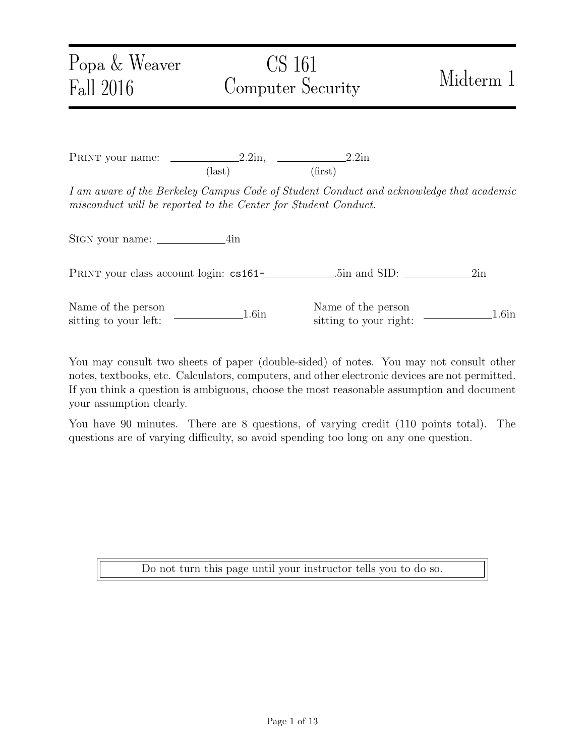PRINT your name:  $\frac{\qquad \qquad 2.2\text{in}}{2.2\text{in}}$  2.2in (last) (first)

I am aware of the Berkeley Campus Code of Student Conduct and acknowledge that academic misconduct will be reported to the Center for Student Conduct.

SIGN your name: 4in

PRINT your class account login: cs161- .5in and SID: 2in

Name of the person Name of the person<br>
sitting to your left: 1.6in<br>
1.6in<br>
1.6in<br>
1.6in<br>
1.6in

You may consult two sheets of paper (double-sided) of notes. You may not consult other notes, textbooks, etc. Calculators, computers, and other electronic devices are not permitted. If you think a question is ambiguous, choose the most reasonable assumption and document your assumption clearly.

You have 90 minutes. There are 8 questions, of varying credit (110 points total). The questions are of varying difficulty, so avoid spending too long on any one question.

Do not turn this page until your instructor tells you to do so.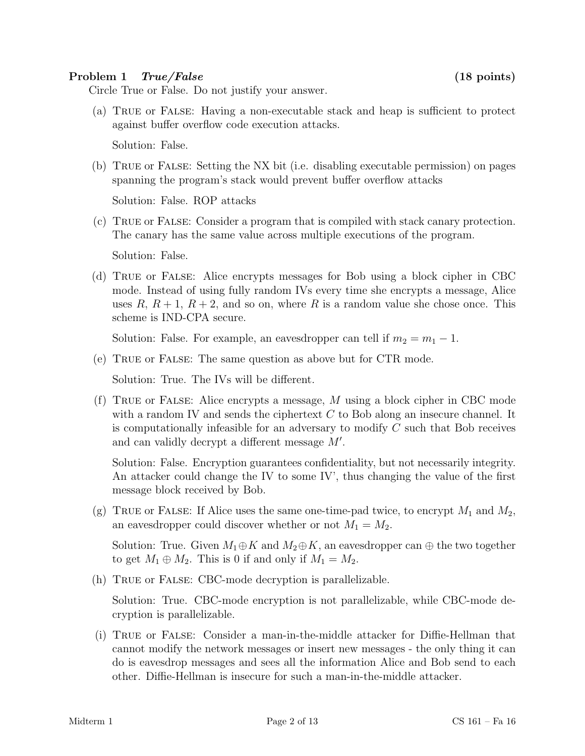### Problem 1 True/False (18 points)

Circle True or False. Do not justify your answer.

(a) True or False: Having a non-executable stack and heap is sufficient to protect against buffer overflow code execution attacks.

Solution: False.

(b) True or False: Setting the NX bit (i.e. disabling executable permission) on pages spanning the program's stack would prevent buffer overflow attacks

Solution: False. ROP attacks

(c) True or False: Consider a program that is compiled with stack canary protection. The canary has the same value across multiple executions of the program.

Solution: False.

(d) True or False: Alice encrypts messages for Bob using a block cipher in CBC mode. Instead of using fully random IVs every time she encrypts a message, Alice uses  $R, R+1, R+2$ , and so on, where R is a random value she chose once. This scheme is IND-CPA secure.

Solution: False. For example, an eavesdropper can tell if  $m_2 = m_1 - 1$ .

(e) True or False: The same question as above but for CTR mode.

Solution: True. The IVs will be different.

(f) TRUE or FALSE: Alice encrypts a message,  $M$  using a block cipher in CBC mode with a random IV and sends the ciphertext  $C$  to Bob along an insecure channel. It is computationally infeasible for an adversary to modify  $C$  such that Bob receives and can validly decrypt a different message  $M'$ .

Solution: False. Encryption guarantees confidentiality, but not necessarily integrity. An attacker could change the IV to some IV', thus changing the value of the first message block received by Bob.

(g) TRUE or FALSE: If Alice uses the same one-time-pad twice, to encrypt  $M_1$  and  $M_2$ , an eavesdropper could discover whether or not  $M_1 = M_2$ .

Solution: True. Given  $M_1 \oplus K$  and  $M_2 \oplus K$ , an eavesdropper can  $\oplus$  the two together to get  $M_1 \oplus M_2$ . This is 0 if and only if  $M_1 = M_2$ .

(h) True or False: CBC-mode decryption is parallelizable.

Solution: True. CBC-mode encryption is not parallelizable, while CBC-mode decryption is parallelizable.

(i) True or False: Consider a man-in-the-middle attacker for Diffie-Hellman that cannot modify the network messages or insert new messages - the only thing it can do is eavesdrop messages and sees all the information Alice and Bob send to each other. Diffie-Hellman is insecure for such a man-in-the-middle attacker.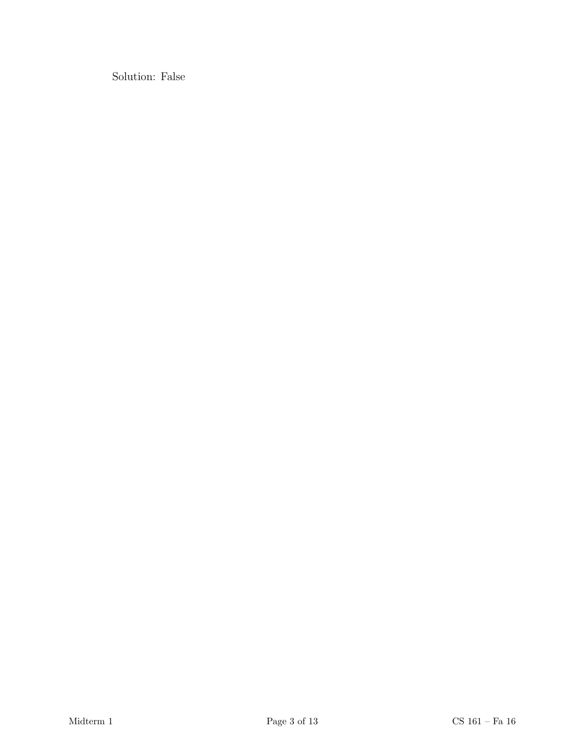Solution: False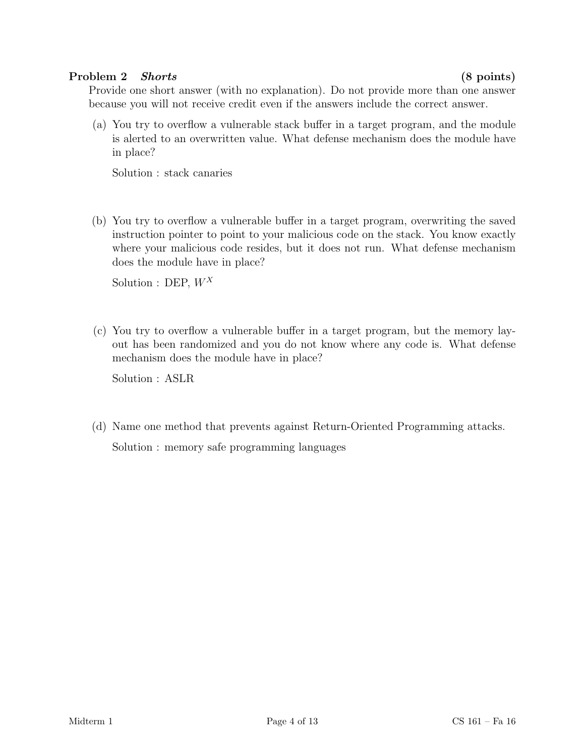### Problem 2 Shorts (8 points)

Provide one short answer (with no explanation). Do not provide more than one answer because you will not receive credit even if the answers include the correct answer.

(a) You try to overflow a vulnerable stack buffer in a target program, and the module is alerted to an overwritten value. What defense mechanism does the module have in place?

Solution : stack canaries

(b) You try to overflow a vulnerable buffer in a target program, overwriting the saved instruction pointer to point to your malicious code on the stack. You know exactly where your malicious code resides, but it does not run. What defense mechanism does the module have in place?

Solution : DEP,  $W^X$ 

(c) You try to overflow a vulnerable buffer in a target program, but the memory layout has been randomized and you do not know where any code is. What defense mechanism does the module have in place?

Solution : ASLR

(d) Name one method that prevents against Return-Oriented Programming attacks. Solution : memory safe programming languages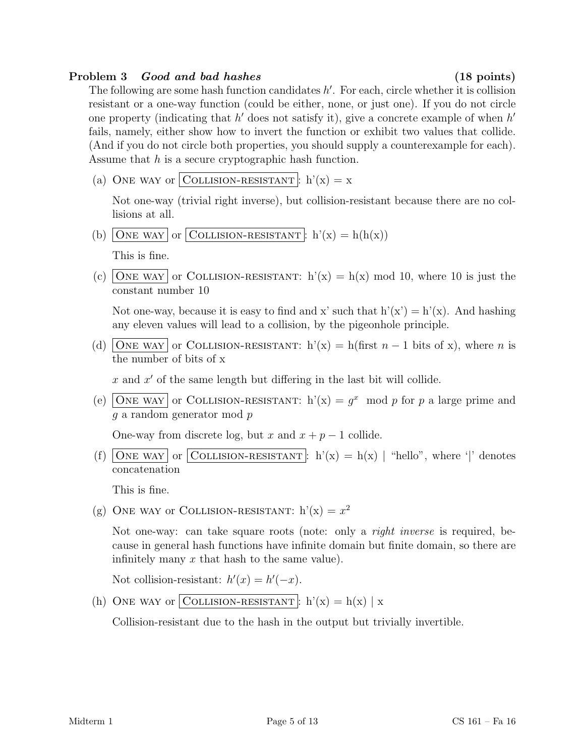## Problem 3 Good and bad hashes (18 points)

The following are some hash function candidates  $h'$ . For each, circle whether it is collision resistant or a one-way function (could be either, none, or just one). If you do not circle one property (indicating that  $h'$  does not satisfy it), give a concrete example of when  $h'$ fails, namely, either show how to invert the function or exhibit two values that collide. (And if you do not circle both properties, you should supply a counterexample for each). Assume that  $h$  is a secure cryptographic hash function.

(a) ONE WAY or COLLISION-RESISTANT:  $h'(x) = x$ 

Not one-way (trivial right inverse), but collision-resistant because there are no collisions at all.

(b) ONE WAY or COLLISION-RESISTANT : h'(x) = h(h(x))

This is fine.

(c) ONE WAY or COLLISION-RESISTANT:  $h'(x) = h(x) \mod 10$ , where 10 is just the constant number 10

Not one-way, because it is easy to find and x' such that  $h'(x') = h'(x)$ . And hashing any eleven values will lead to a collision, by the pigeonhole principle.

(d) ONE WAY or COLLISION-RESISTANT: h'(x) = h(first  $n-1$  bits of x), where n is the number of bits of x

 $x$  and  $x'$  of the same length but differing in the last bit will collide.

(e) ONE WAY or COLLISION-RESISTANT:  $h'(x) = g^x \mod p$  for p a large prime and g a random generator mod p

One-way from discrete log, but x and  $x + p - 1$  collide.

(f) ONE WAY or COLLISION-RESISTANT:  $h'(x) = h(x)$  | "hello", where '|' denotes concatenation

This is fine.

(g) ONE WAY OF COLLISION-RESISTANT:  $h'(x) = x^2$ 

Not one-way: can take square roots (note: only a right inverse is required, because in general hash functions have infinite domain but finite domain, so there are infinitely many  $x$  that hash to the same value).

Not collision-resistant:  $h'(x) = h'(-x)$ .

(h) ONE WAY or COLLISION-RESISTANT :  $h'(x) = h(x) | x$ 

Collision-resistant due to the hash in the output but trivially invertible.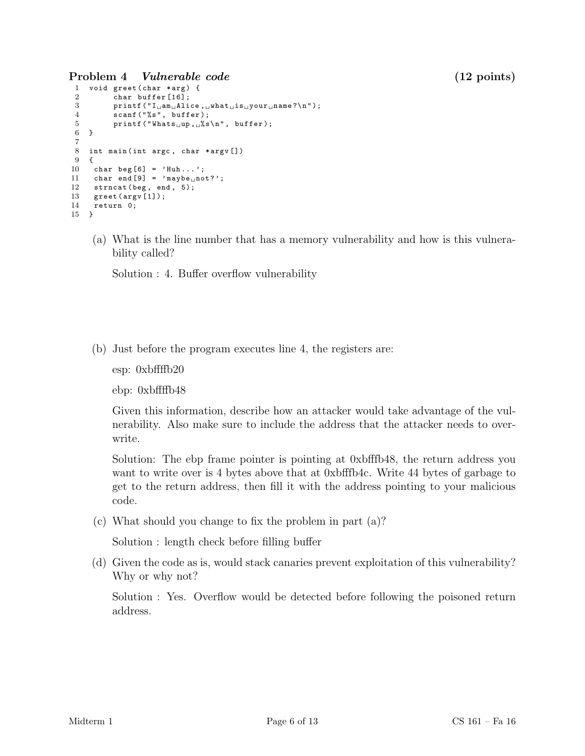Problem 4 Vulnerable code (12 points)

```
1 void greet (char *arg) {
 2 char buffer [16];<br>3 printf ("I_{\sqcup}am_{\sqcup}Ali)print([T_{\sqcup am_{\sqcup}} Alice, {\sqcup what_{\sqcup} is_{\sqcup} your_{\sqcup} name? \n\wedge n");
 4 scanf ("%s", buffer);
 5 printf ("Whats\lim_{u \to \infty}", buffer);
 6 }
 \frac{7}{8}int main (int argc, char * argv [])
 9 {
10 char beg [6] = 'Huh...';
11 char end [9] = 'maybe_Unot?';<br>12 strncat (beg. end. 5):
     strncat (beg, end, 5);
13 greet ( argv [1]);
14 return 0;
15 }
```
(a) What is the line number that has a memory vulnerability and how is this vulnerability called?

Solution : 4. Buffer overflow vulnerability

(b) Just before the program executes line 4, the registers are:

esp: 0xbffffb20

ebp: 0xbffffb48

Given this information, describe how an attacker would take advantage of the vulnerability. Also make sure to include the address that the attacker needs to overwrite.

Solution: The ebp frame pointer is pointing at 0xbfffb48, the return address you want to write over is 4 bytes above that at 0xbfffb4c. Write 44 bytes of garbage to get to the return address, then fill it with the address pointing to your malicious code.

(c) What should you change to fix the problem in part (a)?

Solution : length check before filling buffer

(d) Given the code as is, would stack canaries prevent exploitation of this vulnerability? Why or why not?

Solution : Yes. Overflow would be detected before following the poisoned return address.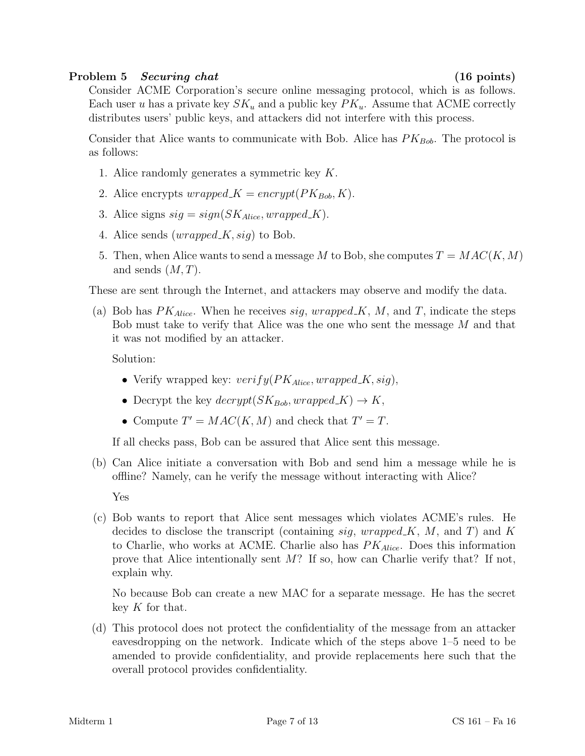## Problem 5 Securing chat (16 points)

Consider ACME Corporation's secure online messaging protocol, which is as follows. Each user u has a private key  $SK_u$  and a public key  $PK_u$ . Assume that ACME correctly distributes users' public keys, and attackers did not interfere with this process.

Consider that Alice wants to communicate with Bob. Alice has  $PK_{Bob}$ . The protocol is as follows:

- 1. Alice randomly generates a symmetric key K.
- 2. Alice encrypts  $wrapped_K = encrypt(PK_{Bob}, K)$ .
- 3. Alice signs  $sig = sign(SK_{Alice}, wrapped_K)$ .
- 4. Alice sends  $(wrapped_K, sig)$  to Bob.
- 5. Then, when Alice wants to send a message M to Bob, she computes  $T = MAC(K, M)$ and sends  $(M, T)$ .

These are sent through the Internet, and attackers may observe and modify the data.

(a) Bob has  $PK_{Alice}$ . When he receives sig, wrapped K, M, and T, indicate the steps Bob must take to verify that Alice was the one who sent the message M and that it was not modified by an attacker.

Solution:

- Verify wrapped key:  $verify(PK_{Alice}, wrapped_K, sig)$ ,
- Decrypt the key  $decrypt(SK_{Bob}, wrapped,K) \rightarrow K$ ,
- Compute  $T' = MAC(K, M)$  and check that  $T' = T$ .

If all checks pass, Bob can be assured that Alice sent this message.

- (b) Can Alice initiate a conversation with Bob and send him a message while he is offline? Namely, can he verify the message without interacting with Alice? Yes
- (c) Bob wants to report that Alice sent messages which violates ACME's rules. He decides to disclose the transcript (containing sig, wrapped  $K$ , M, and T) and K to Charlie, who works at ACME. Charlie also has  $PK_{Alice}$ . Does this information prove that Alice intentionally sent  $M$ ? If so, how can Charlie verify that? If not, explain why.

No because Bob can create a new MAC for a separate message. He has the secret key  $K$  for that.

(d) This protocol does not protect the confidentiality of the message from an attacker eavesdropping on the network. Indicate which of the steps above 1–5 need to be amended to provide confidentiality, and provide replacements here such that the overall protocol provides confidentiality.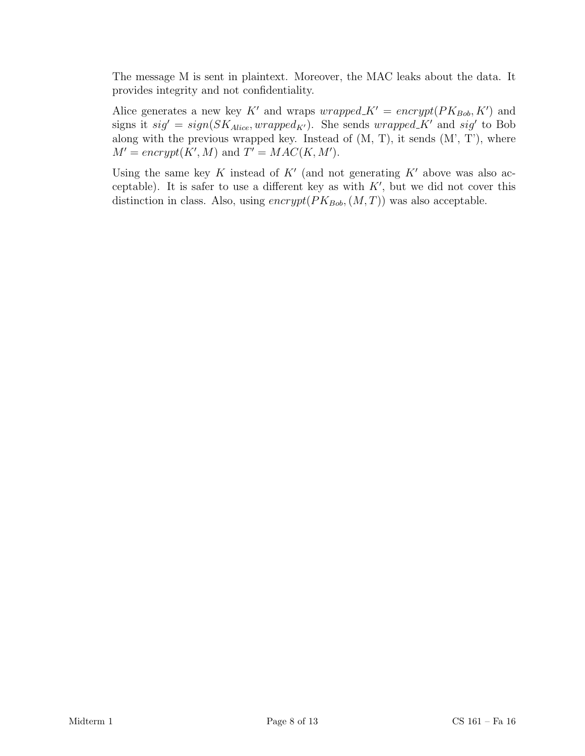The message M is sent in plaintext. Moreover, the MAC leaks about the data. It provides integrity and not confidentiality.

Alice generates a new key K' and wraps  $wrapped K' = encrypt(PK_{Bob}, K')$  and signs it  $sig' = sign(SK_{Alice}, wrapped_{K'})$ . She sends  $wrapped_{K'}$  and  $sig'$  to Bob along with the previous wrapped key. Instead of (M, T), it sends (M', T'), where  $M' = encrypt(K', M)$  and  $T' = MAC(K, M').$ 

Using the same key K instead of  $K'$  (and not generating  $K'$  above was also acceptable). It is safer to use a different key as with  $K'$ , but we did not cover this distinction in class. Also, using  $\text{encryption}(PK_{Bob},(M, T))$  was also acceptable.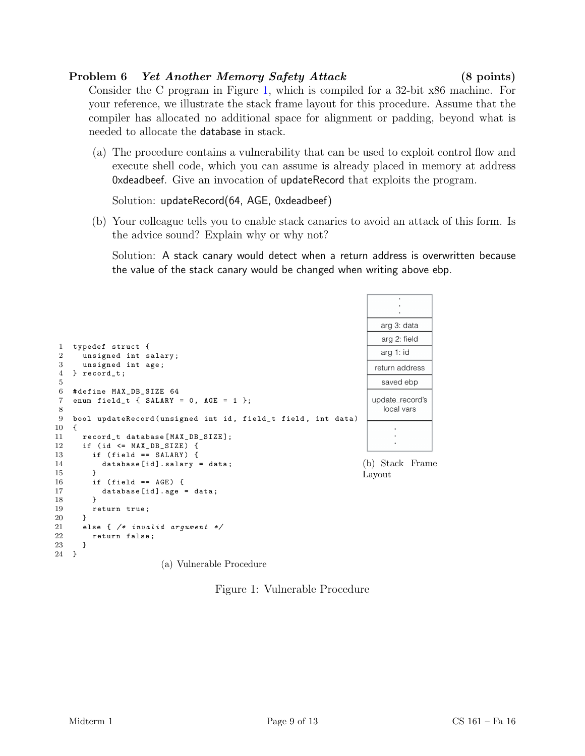## Problem 6 Yet Another Memory Safety Attack (8 points)

Consider the C program in Figure [1,](#page-8-0) which is compiled for a 32-bit x86 machine. For your reference, we illustrate the stack frame layout for this procedure. Assume that the compiler has allocated no additional space for alignment or padding, beyond what is needed to allocate the database in stack.

(a) The procedure contains a vulnerability that can be used to exploit control flow and execute shell code, which you can assume is already placed in memory at address 0xdeadbeef. Give an invocation of updateRecord that exploits the program.

Solution: updateRecord(64, AGE, 0xdeadbeef)

(b) Your colleague tells you to enable stack canaries to avoid an attack of this form. Is the advice sound? Explain why or why not?

Solution: A stack canary would detect when a return address is overwritten because the value of the stack canary would be changed when writing above ebp.

|                     |                                                                            | arg 3: data               |
|---------------------|----------------------------------------------------------------------------|---------------------------|
|                     |                                                                            | arg 2: field              |
| 1<br>$\overline{2}$ | typedef struct {<br>unsigned int salary;                                   | arg 1: id                 |
| 3                   | unsigned int age;                                                          | return address            |
| $\overline{4}$<br>5 | $}$ record_t;                                                              | saved ebp                 |
| 6<br>7              | #define MAX_DB_SIZE 64<br>enum field_t { $SALARY = 0$ , $AGE = 1$ };       | update_record's           |
| 8<br>9              | bool updateRecord (unsigned int id, field_t field, int data)               | local vars                |
| 10<br>11<br>12      | ſ<br>record_t database[MAX_DB_SIZE];<br>if (id $\leq$ MAX_DB_SIZE) {       |                           |
| 13<br>14<br>15      | if $(field == SALARY)$ {<br>$database[id].salary = data;$<br>$\mathcal{F}$ | (b) Stack Frame<br>Layout |
| 16<br>17            | if $(field == AGE)$ {<br>$database[id].age = data;$                        |                           |
| 18<br>19            | ł<br>return true;                                                          |                           |
| 20<br>21            | <sup>T</sup><br>else { $/*$ invalid argument $*/$                          |                           |
| 22                  | return false;                                                              |                           |
| 23<br>24            | }<br>$\mathcal{F}$                                                         |                           |
|                     |                                                                            |                           |

(a) Vulnerable Procedure

<span id="page-8-0"></span>Figure 1: Vulnerable Procedure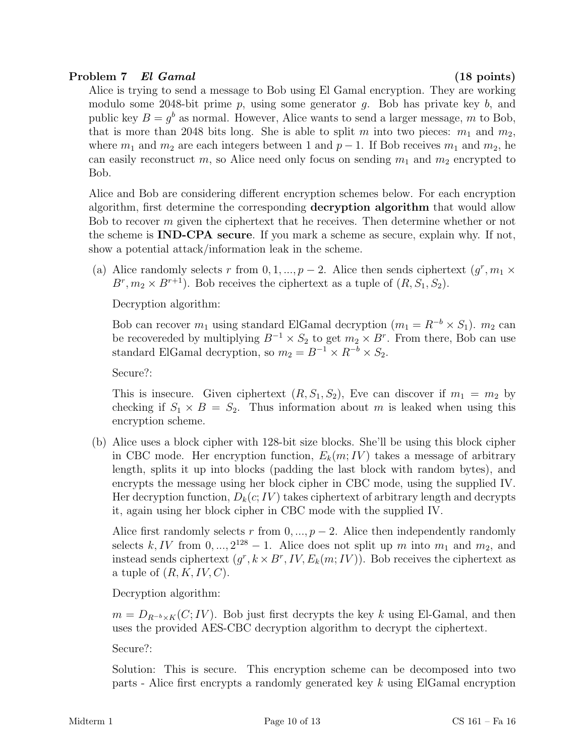# Problem 7 El Gamal (18 points)

Alice is trying to send a message to Bob using El Gamal encryption. They are working modulo some 2048-bit prime  $p$ , using some generator  $q$ . Bob has private key  $b$ , and public key  $B = g<sup>b</sup>$  as normal. However, Alice wants to send a larger message, m to Bob, that is more than 2048 bits long. She is able to split m into two pieces:  $m_1$  and  $m_2$ , where  $m_1$  and  $m_2$  are each integers between 1 and  $p-1$ . If Bob receives  $m_1$  and  $m_2$ , he can easily reconstruct m, so Alice need only focus on sending  $m_1$  and  $m_2$  encrypted to Bob.

Alice and Bob are considering different encryption schemes below. For each encryption algorithm, first determine the corresponding decryption algorithm that would allow Bob to recover m given the ciphertext that he receives. Then determine whether or not the scheme is IND-CPA secure. If you mark a scheme as secure, explain why. If not, show a potential attack/information leak in the scheme.

(a) Alice randomly selects r from  $0, 1, ..., p-2$ . Alice then sends ciphertext  $(g^r, m_1 \times$  $B^r, m_2 \times B^{r+1}$ ). Bob receives the ciphertext as a tuple of  $(R, S_1, S_2)$ .

Decryption algorithm:

Bob can recover  $m_1$  using standard ElGamal decryption  $(m_1 = R^{-b} \times S_1)$ .  $m_2$  can be recovereded by multiplying  $B^{-1} \times S_2$  to get  $m_2 \times B^r$ . From there, Bob can use standard ElGamal decryption, so  $m_2 = B^{-1} \times R^{-b} \times S_2$ .

Secure?:

This is insecure. Given ciphertext  $(R, S_1, S_2)$ , Eve can discover if  $m_1 = m_2$  by checking if  $S_1 \times B = S_2$ . Thus information about m is leaked when using this encryption scheme.

(b) Alice uses a block cipher with 128-bit size blocks. She'll be using this block cipher in CBC mode. Her encryption function,  $E_k(m; IV)$  takes a message of arbitrary length, splits it up into blocks (padding the last block with random bytes), and encrypts the message using her block cipher in CBC mode, using the supplied IV. Her decryption function,  $D_k(c; IV)$  takes ciphertext of arbitrary length and decrypts it, again using her block cipher in CBC mode with the supplied IV.

Alice first randomly selects r from  $0, ..., p-2$ . Alice then independently randomly selects k, IV from  $0, \ldots, 2^{128} - 1$ . Alice does not split up m into  $m_1$  and  $m_2$ , and instead sends ciphertext  $(g^r, k \times B^r, IV, E_k(m; IV))$ . Bob receives the ciphertext as a tuple of  $(R, K, IV, C)$ .

Decryption algorithm:

 $m = D_{R^{-b} \times K}(C; IV)$ . Bob just first decrypts the key k using El-Gamal, and then uses the provided AES-CBC decryption algorithm to decrypt the ciphertext.

Secure?:

Solution: This is secure. This encryption scheme can be decomposed into two parts - Alice first encrypts a randomly generated key k using ElGamal encryption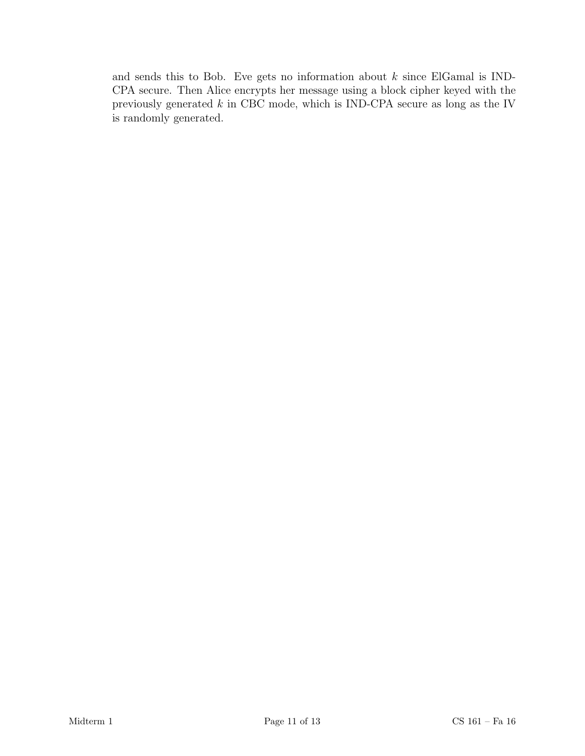and sends this to Bob. Eve gets no information about  $k$  since ElGamal is IND-CPA secure. Then Alice encrypts her message using a block cipher keyed with the previously generated  $k$  in CBC mode, which is IND-CPA secure as long as the IV is randomly generated.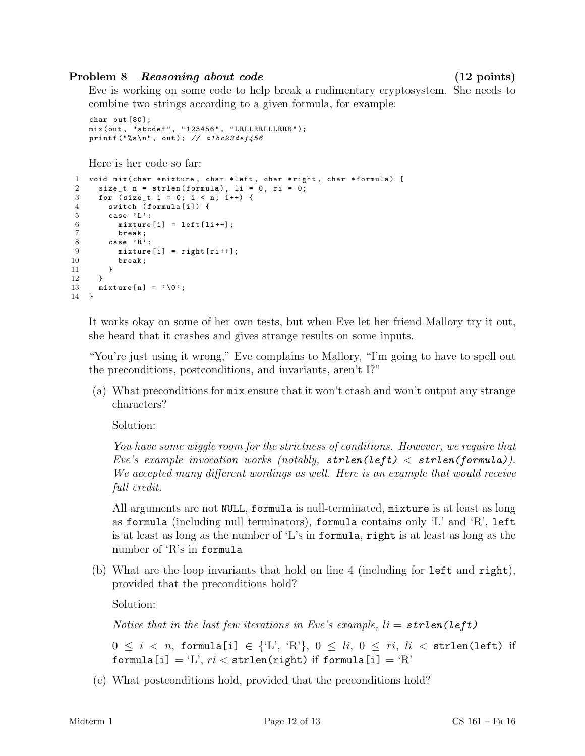### Problem 8 Reasoning about code (12 points)

Eve is working on some code to help break a rudimentary cryptosystem. She needs to combine two strings according to a given formula, for example:

```
char out [80];
mix ( out , " abcdef " , " 123456 " , " LRLLRRLLLRRR " );
printf ("%s\n", out); // a1bc23def456
```
Here is her code so far:

```
1 void mix ( char * mixture, char * left, char * right, char * formula) {
2 size_t n = strlen (formula), li = 0, ri = 0;<br>3 for (size t i = 0; i < n; i++) {
      for (size_t i = 0; i < n; i++) {
4 switch (formula[i]) {
5 case 'L':<br>6 mixture
           mixture[i] = left[i++];7 break;<br>8 case 'R'
         case 'R':
9 mixture[i] = right[ri++];10 break ;
11 }
\begin{array}{ccc} 12 & & \rightarrow \\ 13 & & \text{m} \end{array}mixture[n] = ' \0';14 }
```
It works okay on some of her own tests, but when Eve let her friend Mallory try it out, she heard that it crashes and gives strange results on some inputs.

"You're just using it wrong," Eve complains to Mallory, "I'm going to have to spell out the preconditions, postconditions, and invariants, aren't I?"

(a) What preconditions for mix ensure that it won't crash and won't output any strange characters?

Solution:

You have some wiggle room for the strictness of conditions. However, we require that Eve's example invocation works (notably,  $\text{strlen}(\text{left}) < \text{strlen}(\text{formula})$ ). We accepted many different wordings as well. Here is an example that would receive full credit.

All arguments are not NULL, formula is null-terminated, mixture is at least as long as formula (including null terminators), formula contains only 'L' and 'R', left is at least as long as the number of 'L's in formula, right is at least as long as the number of 'R's in formula

(b) What are the loop invariants that hold on line 4 (including for left and right), provided that the preconditions hold?

Solution:

Notice that in the last few iterations in Eve's example,  $li = strlen(left)$ 

 $0 \leq i \leq n$ , formula[i]  $\in \{L', 'R'\}, 0 \leq li, 0 \leq ri, li \leq \text{strlen}(\text{left})$  if formula[i] = 'L',  $ri <$  strlen(right) if formula[i] = 'R'

(c) What postconditions hold, provided that the preconditions hold?